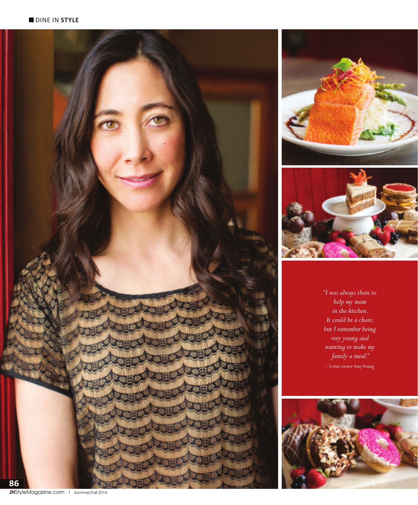





*"I was always there to help my mom in the kitchen. It could be a chore, but I remember being very young and wanting to make my family a meal."*  – Lotus owner Amy Young